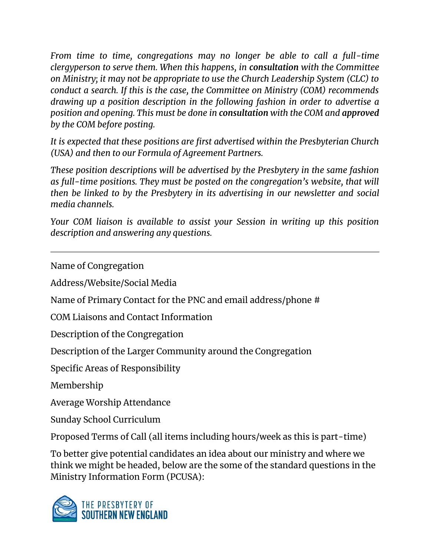*From time to time, congregations may no longer be able to call a full-time clergyperson to serve them. When this happens, in consultation with the Committee on Ministry; it may not be appropriate to use the Church Leadership System (CLC) to conduct a search. If this is the case, the Committee on Ministry (COM) recommends drawing up a position description in the following fashion in order to advertise a position and opening. This must be done in consultation with the COM and approved by the COM before posting.* 

*It is expected that these positions are first advertised within the Presbyterian Church (USA) and then to our Formula of Agreement Partners.* 

*These position descriptions will be advertised by the Presbytery in the same fashion as full-time positions. They must be posted on the congregation's website, that will then be linked to by the Presbytery in its advertising in our newsletter and social media channels.*

*Your COM liaison is available to assist your Session in writing up this position description and answering any questions.*

Name of Congregation

Address/Website/Social Media

Name of Primary Contact for the PNC and email address/phone #

COM Liaisons and Contact Information

Description of the Congregation

Description of the Larger Community around the Congregation

Specific Areas of Responsibility

Membership

Average Worship Attendance

Sunday School Curriculum

Proposed Terms of Call (all items including hours/week as this is part-time)

To better give potential candidates an idea about our ministry and where we think we might be headed, below are the some of the standard questions in the Ministry Information Form (PCUSA):